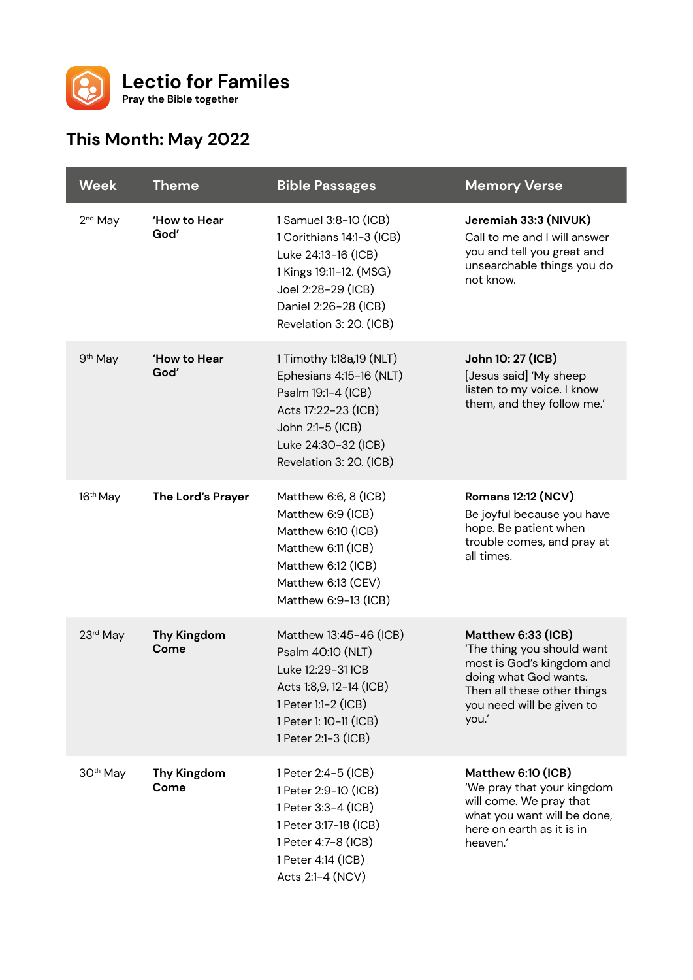

## **This Month: May 2022**

| <b>Week</b>          | <b>Theme</b>               | <b>Bible Passages</b>                                                                                                                                                         | <b>Memory Verse</b>                                                                                                                                                         |
|----------------------|----------------------------|-------------------------------------------------------------------------------------------------------------------------------------------------------------------------------|-----------------------------------------------------------------------------------------------------------------------------------------------------------------------------|
| 2 <sup>nd</sup> May  | 'How to Hear<br>God'       | 1 Samuel 3:8-10 (ICB)<br>1 Corithians 14:1-3 (ICB)<br>Luke 24:13-16 (ICB)<br>1 Kings 19:11-12. (MSG)<br>Joel 2:28-29 (ICB)<br>Daniel 2:26-28 (ICB)<br>Revelation 3: 20. (ICB) | Jeremiah 33:3 (NIVUK)<br>Call to me and I will answer<br>you and tell you great and<br>unsearchable things you do<br>not know.                                              |
| 9 <sup>th</sup> May  | 'How to Hear<br>God'       | 1 Timothy 1:18a,19 (NLT)<br>Ephesians 4:15-16 (NLT)<br>Psalm 19:1-4 (ICB)<br>Acts 17:22-23 (ICB)<br>John 2:1-5 (ICB)<br>Luke 24:30-32 (ICB)<br>Revelation 3: 20. (ICB)        | John 10: 27 (ICB)<br>[Jesus said] 'My sheep<br>listen to my voice. I know<br>them, and they follow me.'                                                                     |
| 16 <sup>th</sup> May | The Lord's Prayer          | Matthew 6:6, 8 (ICB)<br>Matthew 6:9 (ICB)<br>Matthew 6:10 (ICB)<br>Matthew 6:11 (ICB)<br>Matthew 6:12 (ICB)<br>Matthew 6:13 (CEV)<br>Matthew 6:9-13 (ICB)                     | <b>Romans 12:12 (NCV)</b><br>Be joyful because you have<br>hope. Be patient when<br>trouble comes, and pray at<br>all times.                                                |
| 23rd May             | <b>Thy Kingdom</b><br>Come | Matthew 13:45-46 (ICB)<br>Psalm 40:10 (NLT)<br>Luke 12:29-31 ICB<br>Acts 1:8,9, 12-14 (ICB)<br>1 Peter 1:1-2 (ICB)<br>1 Peter 1: 10-11 (ICB)<br>1 Peter 2:1-3 (ICB)           | Matthew 6:33 (ICB)<br>'The thing you should want<br>most is God's kingdom and<br>doing what God wants.<br>Then all these other things<br>you need will be given to<br>you.' |
| 30 <sup>th</sup> May | <b>Thy Kingdom</b><br>Come | 1 Peter 2:4-5 (ICB)<br>1 Peter 2:9-10 (ICB)<br>1 Peter 3:3-4 (ICB)<br>1 Peter 3:17-18 (ICB)<br>1 Peter 4:7-8 (ICB)<br>1 Peter 4:14 (ICB)<br>Acts 2:1-4 (NCV)                  | Matthew 6:10 (ICB)<br>'We pray that your kingdom<br>will come. We pray that<br>what you want will be done,<br>here on earth as it is in<br>heaven.'                         |